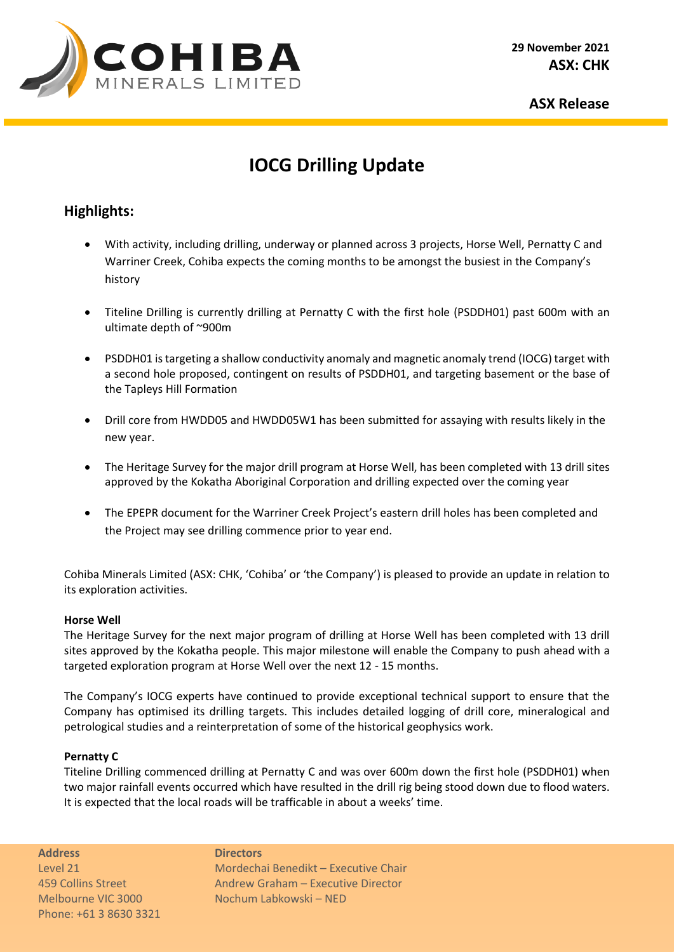

**ASX Release** 

# **IOCG Drilling Update**

## **Highlights:**

- With activity, including drilling, underway or planned across 3 projects, Horse Well, Pernatty C and Warriner Creek, Cohiba expects the coming months to be amongst the busiest in the Company's history
- Titeline Drilling is currently drilling at Pernatty C with the first hole (PSDDH01) past 600m with an ultimate depth of ~900m
- PSDDH01 is targeting a shallow conductivity anomaly and magnetic anomaly trend (IOCG) target with a second hole proposed, contingent on results of PSDDH01, and targeting basement or the base of the Tapleys Hill Formation
- Drill core from HWDD05 and HWDD05W1 has been submitted for assaying with results likely in the new year.
- The Heritage Survey for the major drill program at Horse Well, has been completed with 13 drill sites approved by the Kokatha Aboriginal Corporation and drilling expected over the coming year
- The EPEPR document for the Warriner Creek Project's eastern drill holes has been completed and the Project may see drilling commence prior to year end.

Cohiba Minerals Limited (ASX: CHK, 'Cohiba' or 'the Company') is pleased to provide an update in relation to its exploration activities.

### **Horse Well**

The Heritage Survey for the next major program of drilling at Horse Well has been completed with 13 drill sites approved by the Kokatha people. This major milestone will enable the Company to push ahead with a targeted exploration program at Horse Well over the next 12 - 15 months.

The Company's IOCG experts have continued to provide exceptional technical support to ensure that the Company has optimised its drilling targets. This includes detailed logging of drill core, mineralogical and petrological studies and a reinterpretation of some of the historical geophysics work.

### **Pernatty C**

Titeline Drilling commenced drilling at Pernatty C and was over 600m down the first hole (PSDDH01) when two major rainfall events occurred which have resulted in the drill rig being stood down due to flood waters. It is expected that the local roads will be trafficable in about a weeks' time.

**Address Directors** Phone: +61 3 8630 3321

Level 21 Mordechai Benedikt – Executive Chair 459 Collins Street **Andrew Graham – Executive Director** Melbourne VIC 3000 Nochum Labkowski – NED